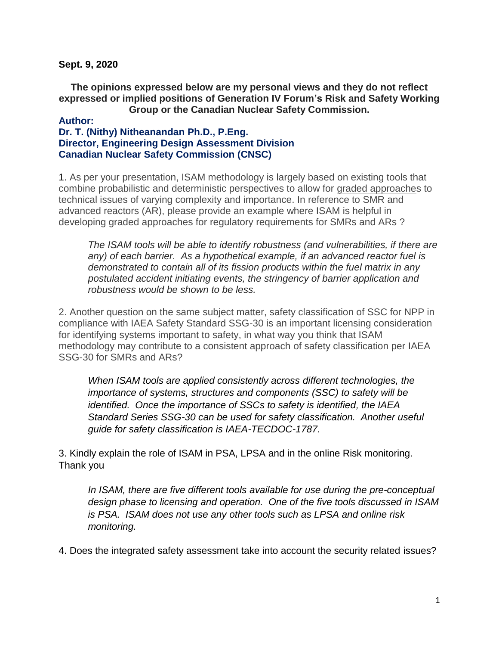**Sept. 9, 2020**

**The opinions expressed below are my personal views and they do not reflect expressed or implied positions of Generation IV Forum's Risk and Safety Working Group or the Canadian Nuclear Safety Commission.**

## **Author: Dr. T. (Nithy) Nitheanandan Ph.D., P.Eng. Director, Engineering Design Assessment Division Canadian Nuclear Safety Commission (CNSC)**

1. As per your presentation, ISAM methodology is largely based on existing tools that combine probabilistic and deterministic perspectives to allow for graded approaches to technical issues of varying complexity and importance. In reference to SMR and advanced reactors (AR), please provide an example where ISAM is helpful in developing graded approaches for regulatory requirements for SMRs and ARs ?

*The ISAM tools will be able to identify robustness (and vulnerabilities, if there are any) of each barrier. As a hypothetical example, if an advanced reactor fuel is demonstrated to contain all of its fission products within the fuel matrix in any postulated accident initiating events, the stringency of barrier application and robustness would be shown to be less.*

2. Another question on the same subject matter, safety classification of SSC for NPP in compliance with IAEA Safety Standard SSG-30 is an important licensing consideration for identifying systems important to safety, in what way you think that ISAM methodology may contribute to a consistent approach of safety classification per IAEA SSG-30 for SMRs and ARs?

*When ISAM tools are applied consistently across different technologies, the importance of systems, structures and components (SSC) to safety will be identified. Once the importance of SSCs to safety is identified, the IAEA Standard Series SSG-30 can be used for safety classification. Another useful guide for safety classification is IAEA-TECDOC-1787.*

3. Kindly explain the role of ISAM in PSA, LPSA and in the online Risk monitoring. Thank you

*In ISAM, there are five different tools available for use during the pre-conceptual design phase to licensing and operation. One of the five tools discussed in ISAM is PSA. ISAM does not use any other tools such as LPSA and online risk monitoring.*

4. Does the integrated safety assessment take into account the security related issues?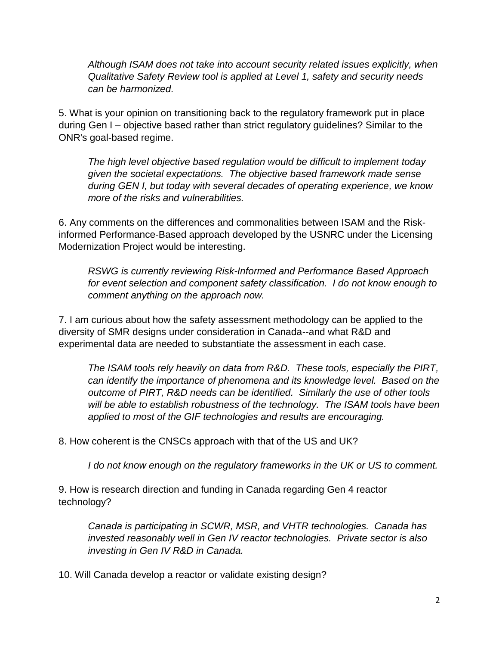*Although ISAM does not take into account security related issues explicitly, when Qualitative Safety Review tool is applied at Level 1, safety and security needs can be harmonized.*

5. What is your opinion on transitioning back to the regulatory framework put in place during Gen I – objective based rather than strict regulatory guidelines? Similar to the ONR's goal-based regime.

*The high level objective based regulation would be difficult to implement today given the societal expectations. The objective based framework made sense during GEN I, but today with several decades of operating experience, we know more of the risks and vulnerabilities.*

6. Any comments on the differences and commonalities between ISAM and the Riskinformed Performance-Based approach developed by the USNRC under the Licensing Modernization Project would be interesting.

*RSWG is currently reviewing Risk-Informed and Performance Based Approach for event selection and component safety classification. I do not know enough to comment anything on the approach now.*

7. I am curious about how the safety assessment methodology can be applied to the diversity of SMR designs under consideration in Canada--and what R&D and experimental data are needed to substantiate the assessment in each case.

*The ISAM tools rely heavily on data from R&D. These tools, especially the PIRT, can identify the importance of phenomena and its knowledge level. Based on the outcome of PIRT, R&D needs can be identified. Similarly the use of other tools will be able to establish robustness of the technology. The ISAM tools have been applied to most of the GIF technologies and results are encouraging.*

8. How coherent is the CNSCs approach with that of the US and UK?

*I do not know enough on the regulatory frameworks in the UK or US to comment.*

9. How is research direction and funding in Canada regarding Gen 4 reactor technology?

*Canada is participating in SCWR, MSR, and VHTR technologies. Canada has invested reasonably well in Gen IV reactor technologies. Private sector is also investing in Gen IV R&D in Canada.*

10. Will Canada develop a reactor or validate existing design?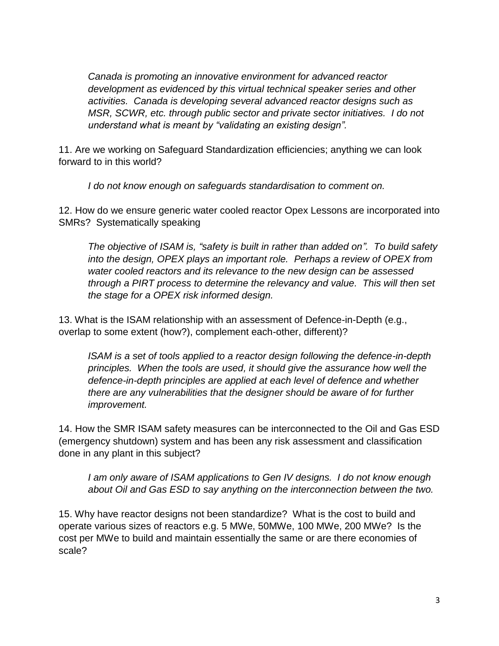*Canada is promoting an innovative environment for advanced reactor development as evidenced by this virtual technical speaker series and other activities. Canada is developing several advanced reactor designs such as MSR, SCWR, etc. through public sector and private sector initiatives. I do not understand what is meant by "validating an existing design".*

11. Are we working on Safeguard Standardization efficiencies; anything we can look forward to in this world?

*I do not know enough on safeguards standardisation to comment on.*

12. How do we ensure generic water cooled reactor Opex Lessons are incorporated into SMRs? Systematically speaking

*The objective of ISAM is, "safety is built in rather than added on". To build safety into the design, OPEX plays an important role. Perhaps a review of OPEX from water cooled reactors and its relevance to the new design can be assessed through a PIRT process to determine the relevancy and value. This will then set the stage for a OPEX risk informed design.*

13. What is the ISAM relationship with an assessment of Defence-in-Depth (e.g., overlap to some extent (how?), complement each-other, different)?

*ISAM is a set of tools applied to a reactor design following the defence-in-depth principles. When the tools are used, it should give the assurance how well the defence-in-depth principles are applied at each level of defence and whether there are any vulnerabilities that the designer should be aware of for further improvement.*

14. How the SMR ISAM safety measures can be interconnected to the Oil and Gas ESD (emergency shutdown) system and has been any risk assessment and classification done in any plant in this subject?

*I am only aware of ISAM applications to Gen IV designs. I do not know enough about Oil and Gas ESD to say anything on the interconnection between the two.*

15. Why have reactor designs not been standardize? What is the cost to build and operate various sizes of reactors e.g. 5 MWe, 50MWe, 100 MWe, 200 MWe? Is the cost per MWe to build and maintain essentially the same or are there economies of scale?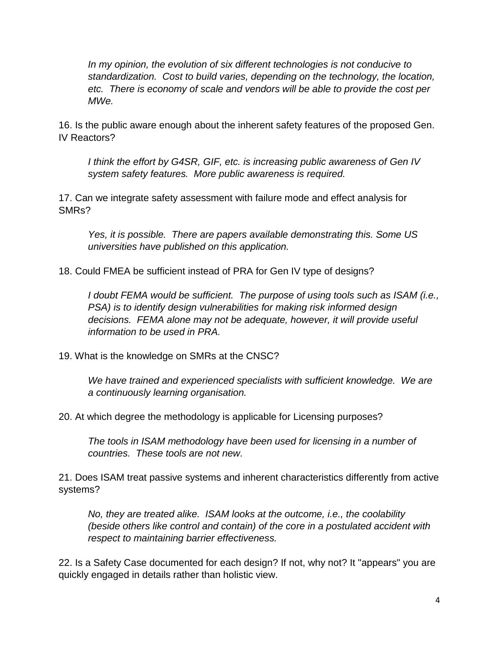*In my opinion, the evolution of six different technologies is not conducive to standardization. Cost to build varies, depending on the technology, the location, etc. There is economy of scale and vendors will be able to provide the cost per MWe.*

16. Is the public aware enough about the inherent safety features of the proposed Gen. IV Reactors?

*I think the effort by G4SR, GIF, etc. is increasing public awareness of Gen IV system safety features. More public awareness is required.*

17. Can we integrate safety assessment with failure mode and effect analysis for SMRs?

*Yes, it is possible. There are papers available demonstrating this. Some US universities have published on this application.*

18. Could FMEA be sufficient instead of PRA for Gen IV type of designs?

*I doubt FEMA would be sufficient. The purpose of using tools such as ISAM (i.e., PSA) is to identify design vulnerabilities for making risk informed design decisions. FEMA alone may not be adequate, however, it will provide useful information to be used in PRA.*

19. What is the knowledge on SMRs at the CNSC?

*We have trained and experienced specialists with sufficient knowledge. We are a continuously learning organisation.*

20. At which degree the methodology is applicable for Licensing purposes?

*The tools in ISAM methodology have been used for licensing in a number of countries. These tools are not new.*

21. Does ISAM treat passive systems and inherent characteristics differently from active systems?

*No, they are treated alike. ISAM looks at the outcome, i.e., the coolability (beside others like control and contain) of the core in a postulated accident with respect to maintaining barrier effectiveness.* 

22. Is a Safety Case documented for each design? If not, why not? It "appears" you are quickly engaged in details rather than holistic view.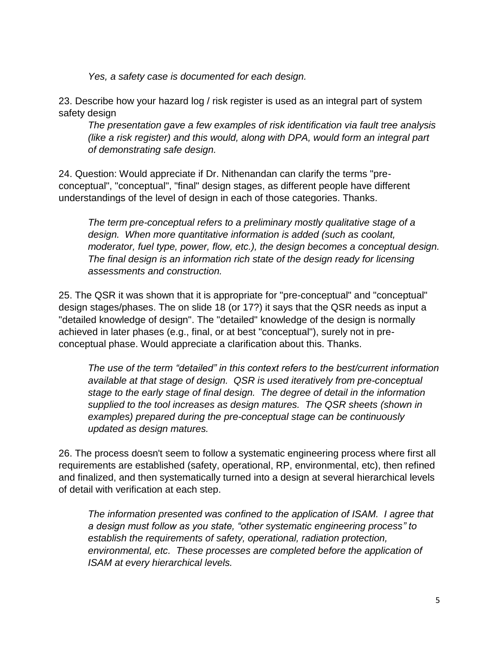*Yes, a safety case is documented for each design.*

23. Describe how your hazard log / risk register is used as an integral part of system safety design

*The presentation gave a few examples of risk identification via fault tree analysis (like a risk register) and this would, along with DPA, would form an integral part of demonstrating safe design.*

24. Question: Would appreciate if Dr. Nithenandan can clarify the terms "preconceptual", "conceptual", "final" design stages, as different people have different understandings of the level of design in each of those categories. Thanks.

*The term pre-conceptual refers to a preliminary mostly qualitative stage of a design. When more quantitative information is added (such as coolant, moderator, fuel type, power, flow, etc.), the design becomes a conceptual design. The final design is an information rich state of the design ready for licensing assessments and construction.*

25. The QSR it was shown that it is appropriate for "pre-conceptual" and "conceptual" design stages/phases. The on slide 18 (or 17?) it says that the QSR needs as input a "detailed knowledge of design". The "detailed" knowledge of the design is normally achieved in later phases (e.g., final, or at best "conceptual"), surely not in preconceptual phase. Would appreciate a clarification about this. Thanks.

*The use of the term "detailed" in this context refers to the best/current information available at that stage of design. QSR is used iteratively from pre-conceptual stage to the early stage of final design. The degree of detail in the information supplied to the tool increases as design matures. The QSR sheets (shown in examples) prepared during the pre-conceptual stage can be continuously updated as design matures.*

26. The process doesn't seem to follow a systematic engineering process where first all requirements are established (safety, operational, RP, environmental, etc), then refined and finalized, and then systematically turned into a design at several hierarchical levels of detail with verification at each step.

*The information presented was confined to the application of ISAM. I agree that a design must follow as you state, "other systematic engineering process" to establish the requirements of safety, operational, radiation protection, environmental, etc. These processes are completed before the application of ISAM at every hierarchical levels.*